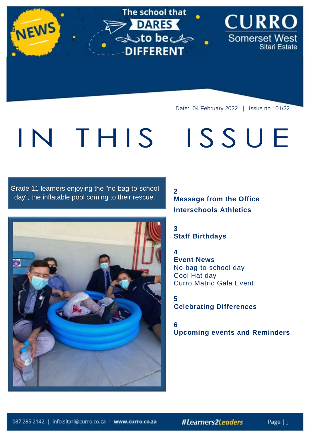Date: 04 February 2022 | Issue no.: 01/22

**CURRO** 

Sitari Estate

Somerset West

ISSUE

# IN THIS

NEWS

### Grade 11 learners enjoying the "no-bag-to-school day", the inflatable pool coming to their rescue.



#### **2 Message from the Office Interschools Athletics**

#### **3 Staff Birthdays**

The school that

sto beck

> DARES

**DIFFERENT** 

#### **4 Event News** No-bag-to-school day Cool Hat day Curro Matric Gala Event

#### **5 Celebrating Differences**

**6 Upcoming events and Reminders**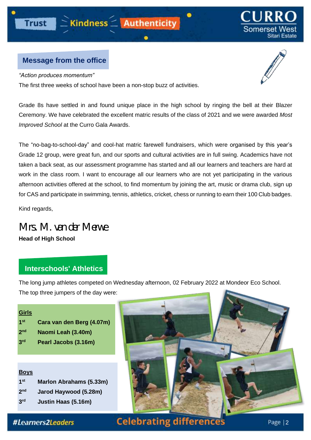#### **Message from the office**

*"Action produces momentum"*

The first three weeks of school have been a non-stop buzz of activities.

Grade 8s have settled in and found unique place in the high school by ringing the bell at their Blazer Ceremony. We have celebrated the excellent matric results of the class of 2021 and we were awarded *Most Improved School* at the Curro Gala Awards.

The "no-bag-to-school-day" and cool-hat matric farewell fundraisers, which were organised by this year's Grade 12 group, were great fun, and our sports and cultural activities are in full swing. Academics have not taken a back seat, as our assessment programme has started and all our learners and teachers are hard at work in the class room. I want to encourage all our learners who are not yet participating in the various afternoon activities offered at the school, to find momentum by joining the art, music or drama club, sign up for CAS and participate in swimming, tennis, athletics, cricket, chess or running to earn their 100 Club badges.

Kind regards,

*Mrs. M. van der Merwe*

**Head of High School**

#### **Interschools' Athletics**

The long jump athletes competed on Wednesday afternoon, 02 February 2022 at Mondeor Eco School. The top three jumpers of the day were:

| <u>Girls</u>    |                           |
|-----------------|---------------------------|
| 1 <sup>st</sup> | Cara van den Berg (4.07m) |
| 2 <sub>nd</sub> | Naomi Leah (3.40m)        |

**3 rd Pearl Jacobs (3.16m)**

#### **Boys 1 st Marlon Abrahams (5.33m) 2 nd Jarod Haywood (5.28m) 3 rd Justin Haas (5.16m)**







Sitari Estate



 $\bullet$ 

#Learners2Leaders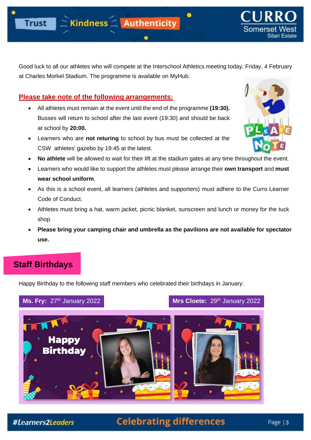

Somerset Sitari Estate

Good luck to all our athletes who will compete at the Interschool Athletics meeting today, Friday, 4 February at Charles Morkel Stadium. The programme is available on MyHub.

٠

#### **Please take note of the following arrangements:**

- All athletes must remain at the event until the end of the programme **(19:30).** Busses will return to school after the last event (19:30) and should be back at school by **20:00.**
- Learners who are **not returing** to school by bus must be collected at the CSW athletes' gazebo by 19:45 at the latest.



- **No athlete** will be allowed to wait for their lift at the stadium gates at any time throughout the event.
- Learners who would like to support the athletes must please arrange their **own transport** and **must wear school uniform**.
- As this is a school event, all learners (athletes and supporters) must adhere to the Curro Learner Code of Conduct.
- Athletes must bring a hat, warm jacket, picnic blanket, sunscreen and lunch or money for the tuck shop.
- **Please bring your camping chair and umbrella as the pavilions are not available for spectator use.**

## **Staff Birthdays**

Happy Birthday to the following staff members who celebrated their birthdays in January:

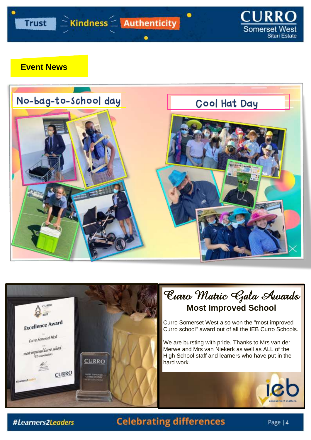

#### **Event News**





# Curro Matric Gala Awards **Most Improved School**

Curro Somerset West also won the "most improved Curro school" award out of all the IEB Curro Schools.

We are bursting with pride. Thanks to Mrs van der Merwe and Mrs van Niekerk as well as ALL of the High School staff and learners who have put in the hard work.

#Learners2Leaders

# **Celebrating differences**

icb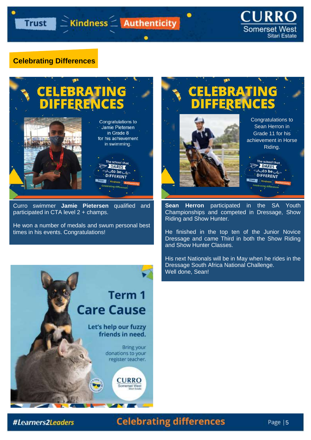٠

### **CURRO Somerset West** Sitari Estate

#### **Celebrating Differences**



Curro swimmer **Jamie Pietersen** qualified and participated in CTA level 2 + champs.

He won a number of medals and swum personal best times in his events. Congratulations!





**Sean Herron** participated in the SA Youth Championships and competed in Dressage, Show Riding and Show Hunter.

He finished in the top ten of the Junior Novice Dressage and came Third in both the Show Riding and Show Hunter Classes.

His next Nationals will be in May when he rides in the Dressage South Africa National Challenge. Well done, Sean!

#### #Learners2Leaders

# **Celebrating differences**